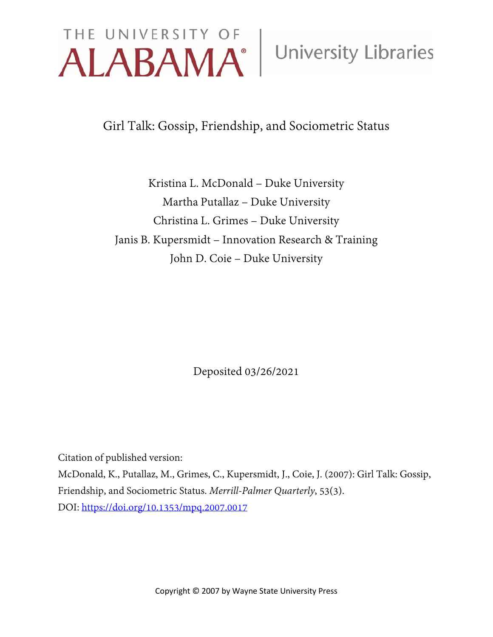# THE UNIVERSITY OF University Libraries

Girl Talk: Gossip, Friendship, and Sociometric Status

Kristina L. McDonald – Duke University Martha Putallaz – Duke University Christina L. Grimes – Duke University Janis B. Kupersmidt – Innovation Research & Training John D. Coie – Duke University

Deposited 03/26/2021

Citation of published version:

McDonald, K., Putallaz, M., Grimes, C., Kupersmidt, J., Coie, J. (2007): Girl Talk: Gossip, Friendship, and Sociometric Status. *Merrill-Palmer Quarterly*, 53(3). DOI:<https://doi.org/10.1353/mpq.2007.0017>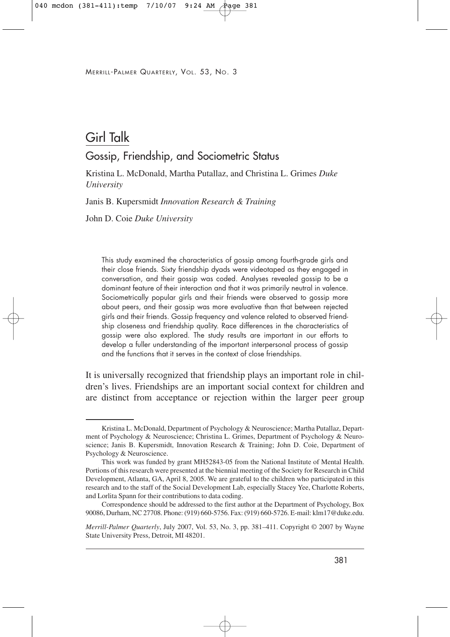# Girl Talk

# Gossip, Friendship, and Sociometric Status

Kristina L. McDonald, Martha Putallaz, and Christina L. Grimes *Duke University*

Janis B. Kupersmidt *Innovation Research & Training*

John D. Coie *Duke University*

This study examined the characteristics of gossip among fourth-grade girls and their close friends. Sixty friendship dyads were videotaped as they engaged in conversation, and their gossip was coded. Analyses revealed gossip to be a dominant feature of their interaction and that it was primarily neutral in valence. Sociometrically popular girls and their friends were observed to gossip more about peers, and their gossip was more evaluative than that between rejected girls and their friends. Gossip frequency and valence related to observed friendship closeness and friendship quality. Race differences in the characteristics of gossip were also explored. The study results are important in our efforts to develop a fuller understanding of the important interpersonal process of gossip and the functions that it serves in the context of close friendships.

It is universally recognized that friendship plays an important role in children's lives. Friendships are an important social context for children and are distinct from acceptance or rejection within the larger peer group

Kristina L. McDonald, Department of Psychology & Neuroscience; Martha Putallaz, Department of Psychology & Neuroscience; Christina L. Grimes, Department of Psychology & Neuroscience; Janis B. Kupersmidt, Innovation Research & Training; John D. Coie, Department of Psychology & Neuroscience.

This work was funded by grant MH52843-05 from the National Institute of Mental Health. Portions of this research were presented at the biennial meeting of the Society for Research in Child Development, Atlanta, GA, April 8, 2005. We are grateful to the children who participated in this research and to the staff of the Social Development Lab, especially Stacey Yee, Charlotte Roberts, and Lorlita Spann for their contributions to data coding.

Correspondence should be addressed to the first author at the Department of Psychology, Box 90086, Durham, NC 27708. Phone: (919) 660-5756. Fax: (919) 660-5726. E-mail: klm17@duke.edu.

*Merrill-Palmer Quarterly*, July 2007, Vol. 53, No. 3, pp. 381–411. Copyright © 2007 by Wayne State University Press, Detroit, MI 48201.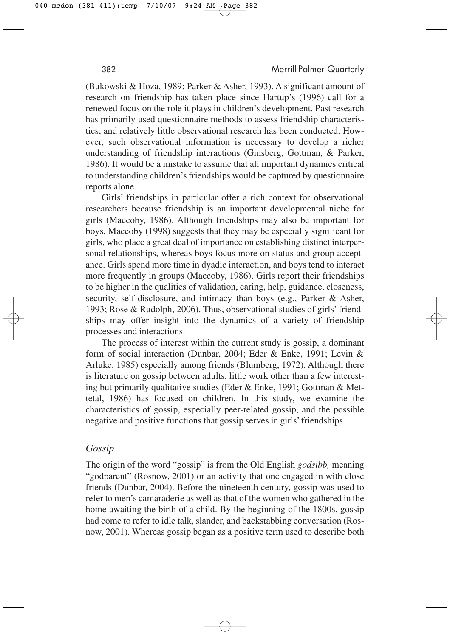(Bukowski & Hoza, 1989; Parker & Asher, 1993). A significant amount of research on friendship has taken place since Hartup's (1996) call for a renewed focus on the role it plays in children's development. Past research has primarily used questionnaire methods to assess friendship characteristics, and relatively little observational research has been conducted. However, such observational information is necessary to develop a richer understanding of friendship interactions (Ginsberg, Gottman, & Parker, 1986). It would be a mistake to assume that all important dynamics critical to understanding children's friendships would be captured by questionnaire reports alone.

Girls' friendships in particular offer a rich context for observational researchers because friendship is an important developmental niche for girls (Maccoby, 1986). Although friendships may also be important for boys, Maccoby (1998) suggests that they may be especially significant for girls, who place a great deal of importance on establishing distinct interpersonal relationships, whereas boys focus more on status and group acceptance. Girls spend more time in dyadic interaction, and boys tend to interact more frequently in groups (Maccoby, 1986). Girls report their friendships to be higher in the qualities of validation, caring, help, guidance, closeness, security, self-disclosure, and intimacy than boys (e.g., Parker & Asher, 1993; Rose & Rudolph, 2006). Thus, observational studies of girls' friendships may offer insight into the dynamics of a variety of friendship processes and interactions.

The process of interest within the current study is gossip, a dominant form of social interaction (Dunbar, 2004; Eder & Enke, 1991; Levin & Arluke, 1985) especially among friends (Blumberg, 1972). Although there is literature on gossip between adults, little work other than a few interesting but primarily qualitative studies (Eder & Enke, 1991; Gottman & Mettetal, 1986) has focused on children. In this study, we examine the characteristics of gossip, especially peer-related gossip, and the possible negative and positive functions that gossip serves in girls' friendships.

# *Gossip*

The origin of the word "gossip" is from the Old English *godsibb,* meaning "godparent" (Rosnow, 2001) or an activity that one engaged in with close friends (Dunbar, 2004). Before the nineteenth century, gossip was used to refer to men's camaraderie as well as that of the women who gathered in the home awaiting the birth of a child. By the beginning of the 1800s, gossip had come to refer to idle talk, slander, and backstabbing conversation (Rosnow, 2001). Whereas gossip began as a positive term used to describe both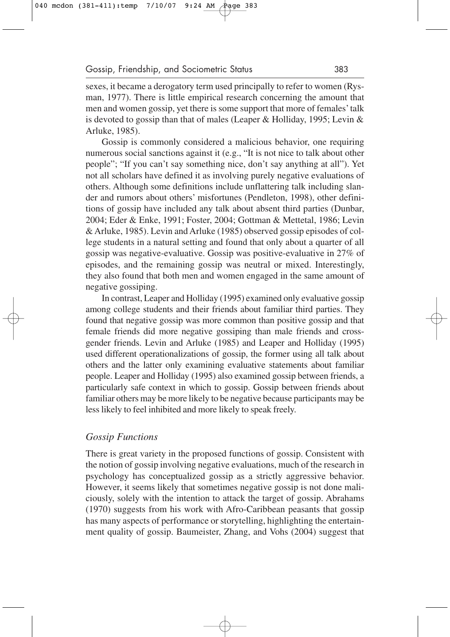sexes, it became a derogatory term used principally to refer to women (Rysman, 1977). There is little empirical research concerning the amount that men and women gossip, yet there is some support that more of females' talk is devoted to gossip than that of males (Leaper & Holliday, 1995; Levin & Arluke, 1985).

Gossip is commonly considered a malicious behavior, one requiring numerous social sanctions against it (e.g., "It is not nice to talk about other people"; "If you can't say something nice, don't say anything at all"). Yet not all scholars have defined it as involving purely negative evaluations of others. Although some definitions include unflattering talk including slander and rumors about others' misfortunes (Pendleton, 1998), other definitions of gossip have included any talk about absent third parties (Dunbar, 2004; Eder & Enke, 1991; Foster, 2004; Gottman & Mettetal, 1986; Levin & Arluke, 1985). Levin and Arluke (1985) observed gossip episodes of college students in a natural setting and found that only about a quarter of all gossip was negative-evaluative. Gossip was positive-evaluative in 27% of episodes, and the remaining gossip was neutral or mixed. Interestingly, they also found that both men and women engaged in the same amount of negative gossiping.

In contrast, Leaper and Holliday (1995) examined only evaluative gossip among college students and their friends about familiar third parties. They found that negative gossip was more common than positive gossip and that female friends did more negative gossiping than male friends and crossgender friends. Levin and Arluke (1985) and Leaper and Holliday (1995) used different operationalizations of gossip, the former using all talk about others and the latter only examining evaluative statements about familiar people. Leaper and Holliday (1995) also examined gossip between friends, a particularly safe context in which to gossip. Gossip between friends about familiar others may be more likely to be negative because participants may be less likely to feel inhibited and more likely to speak freely.

# *Gossip Functions*

There is great variety in the proposed functions of gossip. Consistent with the notion of gossip involving negative evaluations, much of the research in psychology has conceptualized gossip as a strictly aggressive behavior. However, it seems likely that sometimes negative gossip is not done maliciously, solely with the intention to attack the target of gossip. Abrahams (1970) suggests from his work with Afro-Caribbean peasants that gossip has many aspects of performance or storytelling, highlighting the entertainment quality of gossip. Baumeister, Zhang, and Vohs (2004) suggest that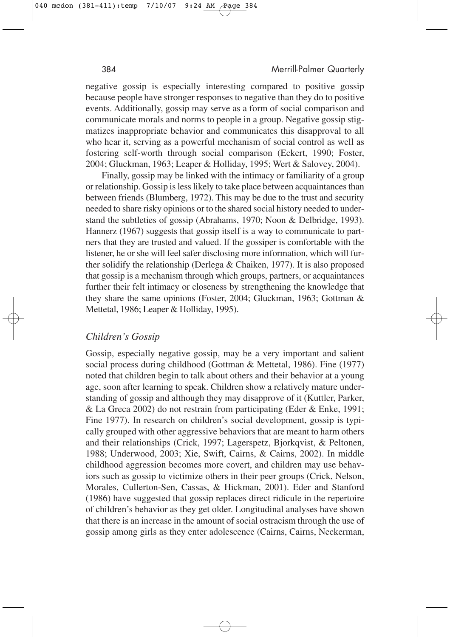negative gossip is especially interesting compared to positive gossip because people have stronger responses to negative than they do to positive events. Additionally, gossip may serve as a form of social comparison and communicate morals and norms to people in a group. Negative gossip stigmatizes inappropriate behavior and communicates this disapproval to all who hear it, serving as a powerful mechanism of social control as well as fostering self-worth through social comparison (Eckert, 1990; Foster, 2004; Gluckman, 1963; Leaper & Holliday, 1995; Wert & Salovey, 2004).

Finally, gossip may be linked with the intimacy or familiarity of a group or relationship. Gossip is less likely to take place between acquaintances than between friends (Blumberg, 1972). This may be due to the trust and security needed to share risky opinions or to the shared social history needed to understand the subtleties of gossip (Abrahams, 1970; Noon & Delbridge, 1993). Hannerz (1967) suggests that gossip itself is a way to communicate to partners that they are trusted and valued. If the gossiper is comfortable with the listener, he or she will feel safer disclosing more information, which will further solidify the relationship (Derlega & Chaiken, 1977). It is also proposed that gossip is a mechanism through which groups, partners, or acquaintances further their felt intimacy or closeness by strengthening the knowledge that they share the same opinions (Foster, 2004; Gluckman, 1963; Gottman & Mettetal, 1986; Leaper & Holliday, 1995).

# *Children's Gossip*

Gossip, especially negative gossip, may be a very important and salient social process during childhood (Gottman & Mettetal, 1986). Fine (1977) noted that children begin to talk about others and their behavior at a young age, soon after learning to speak. Children show a relatively mature understanding of gossip and although they may disapprove of it (Kuttler, Parker, & La Greca 2002) do not restrain from participating (Eder & Enke, 1991; Fine 1977). In research on children's social development, gossip is typically grouped with other aggressive behaviors that are meant to harm others and their relationships (Crick, 1997; Lagerspetz, Bjorkqvist, & Peltonen, 1988; Underwood, 2003; Xie, Swift, Cairns, & Cairns, 2002). In middle childhood aggression becomes more covert, and children may use behaviors such as gossip to victimize others in their peer groups (Crick, Nelson, Morales, Cullerton-Sen, Cassas, & Hickman, 2001). Eder and Stanford (1986) have suggested that gossip replaces direct ridicule in the repertoire of children's behavior as they get older. Longitudinal analyses have shown that there is an increase in the amount of social ostracism through the use of gossip among girls as they enter adolescence (Cairns, Cairns, Neckerman,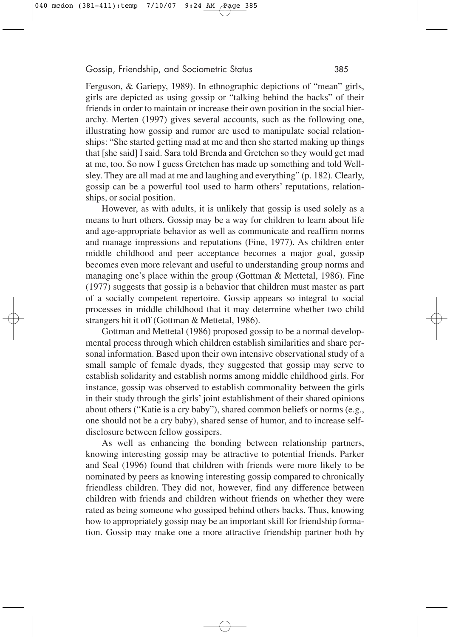Ferguson, & Gariepy, 1989). In ethnographic depictions of "mean" girls, girls are depicted as using gossip or "talking behind the backs" of their friends in order to maintain or increase their own position in the social hierarchy. Merten (1997) gives several accounts, such as the following one, illustrating how gossip and rumor are used to manipulate social relationships: "She started getting mad at me and then she started making up things that [she said] I said. Sara told Brenda and Gretchen so they would get mad at me, too. So now I guess Gretchen has made up something and told Wellsley. They are all mad at me and laughing and everything" (p. 182). Clearly, gossip can be a powerful tool used to harm others' reputations, relationships, or social position.

However, as with adults, it is unlikely that gossip is used solely as a means to hurt others. Gossip may be a way for children to learn about life and age-appropriate behavior as well as communicate and reaffirm norms and manage impressions and reputations (Fine, 1977). As children enter middle childhood and peer acceptance becomes a major goal, gossip becomes even more relevant and useful to understanding group norms and managing one's place within the group (Gottman & Mettetal, 1986). Fine (1977) suggests that gossip is a behavior that children must master as part of a socially competent repertoire. Gossip appears so integral to social processes in middle childhood that it may determine whether two child strangers hit it off (Gottman & Mettetal, 1986).

Gottman and Mettetal (1986) proposed gossip to be a normal developmental process through which children establish similarities and share personal information. Based upon their own intensive observational study of a small sample of female dyads, they suggested that gossip may serve to establish solidarity and establish norms among middle childhood girls. For instance, gossip was observed to establish commonality between the girls in their study through the girls' joint establishment of their shared opinions about others ("Katie is a cry baby"), shared common beliefs or norms (e.g., one should not be a cry baby), shared sense of humor, and to increase selfdisclosure between fellow gossipers.

As well as enhancing the bonding between relationship partners, knowing interesting gossip may be attractive to potential friends. Parker and Seal (1996) found that children with friends were more likely to be nominated by peers as knowing interesting gossip compared to chronically friendless children. They did not, however, find any difference between children with friends and children without friends on whether they were rated as being someone who gossiped behind others backs. Thus, knowing how to appropriately gossip may be an important skill for friendship formation. Gossip may make one a more attractive friendship partner both by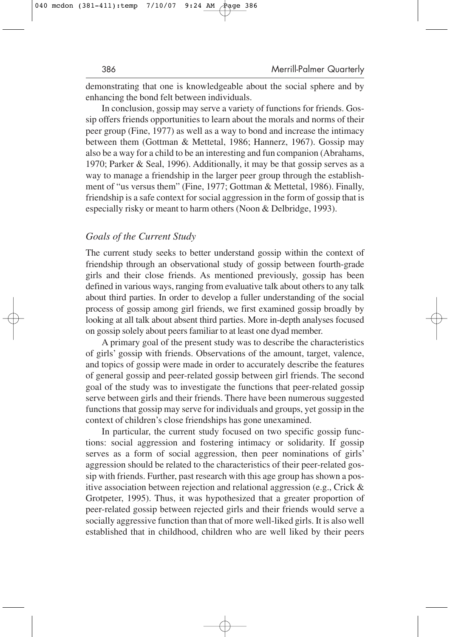demonstrating that one is knowledgeable about the social sphere and by enhancing the bond felt between individuals.

In conclusion, gossip may serve a variety of functions for friends. Gossip offers friends opportunities to learn about the morals and norms of their peer group (Fine, 1977) as well as a way to bond and increase the intimacy between them (Gottman & Mettetal, 1986; Hannerz, 1967). Gossip may also be a way for a child to be an interesting and fun companion (Abrahams, 1970; Parker & Seal, 1996). Additionally, it may be that gossip serves as a way to manage a friendship in the larger peer group through the establishment of "us versus them" (Fine, 1977; Gottman & Mettetal, 1986). Finally, friendship is a safe context for social aggression in the form of gossip that is especially risky or meant to harm others (Noon & Delbridge, 1993).

# *Goals of the Current Study*

The current study seeks to better understand gossip within the context of friendship through an observational study of gossip between fourth-grade girls and their close friends. As mentioned previously, gossip has been defined in various ways, ranging from evaluative talk about others to any talk about third parties. In order to develop a fuller understanding of the social process of gossip among girl friends, we first examined gossip broadly by looking at all talk about absent third parties. More in-depth analyses focused on gossip solely about peers familiar to at least one dyad member.

A primary goal of the present study was to describe the characteristics of girls' gossip with friends. Observations of the amount, target, valence, and topics of gossip were made in order to accurately describe the features of general gossip and peer-related gossip between girl friends. The second goal of the study was to investigate the functions that peer-related gossip serve between girls and their friends. There have been numerous suggested functions that gossip may serve for individuals and groups, yet gossip in the context of children's close friendships has gone unexamined.

In particular, the current study focused on two specific gossip functions: social aggression and fostering intimacy or solidarity. If gossip serves as a form of social aggression, then peer nominations of girls' aggression should be related to the characteristics of their peer-related gossip with friends. Further, past research with this age group has shown a positive association between rejection and relational aggression (e.g., Crick & Grotpeter, 1995). Thus, it was hypothesized that a greater proportion of peer-related gossip between rejected girls and their friends would serve a socially aggressive function than that of more well-liked girls. It is also well established that in childhood, children who are well liked by their peers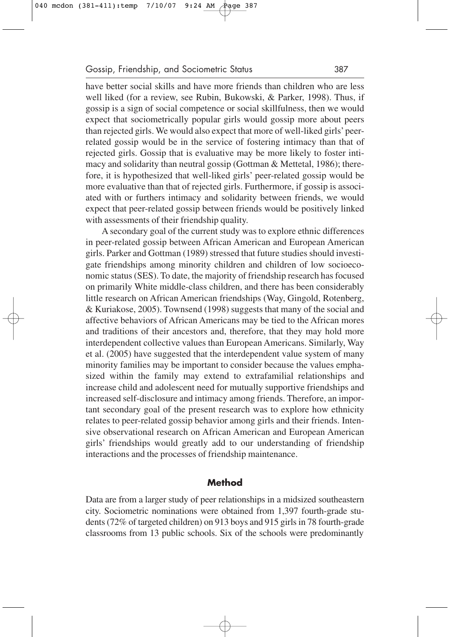have better social skills and have more friends than children who are less well liked (for a review, see Rubin, Bukowski, & Parker, 1998). Thus, if gossip is a sign of social competence or social skillfulness, then we would expect that sociometrically popular girls would gossip more about peers than rejected girls. We would also expect that more of well-liked girls' peerrelated gossip would be in the service of fostering intimacy than that of rejected girls. Gossip that is evaluative may be more likely to foster intimacy and solidarity than neutral gossip (Gottman & Mettetal, 1986); therefore, it is hypothesized that well-liked girls' peer-related gossip would be more evaluative than that of rejected girls. Furthermore, if gossip is associated with or furthers intimacy and solidarity between friends, we would expect that peer-related gossip between friends would be positively linked with assessments of their friendship quality.

A secondary goal of the current study was to explore ethnic differences in peer-related gossip between African American and European American girls. Parker and Gottman (1989) stressed that future studies should investigate friendships among minority children and children of low socioeconomic status (SES). To date, the majority of friendship research has focused on primarily White middle-class children, and there has been considerably little research on African American friendships (Way, Gingold, Rotenberg, & Kuriakose, 2005). Townsend (1998) suggests that many of the social and affective behaviors of African Americans may be tied to the African mores and traditions of their ancestors and, therefore, that they may hold more interdependent collective values than European Americans. Similarly, Way et al. (2005) have suggested that the interdependent value system of many minority families may be important to consider because the values emphasized within the family may extend to extrafamilial relationships and increase child and adolescent need for mutually supportive friendships and increased self-disclosure and intimacy among friends. Therefore, an important secondary goal of the present research was to explore how ethnicity relates to peer-related gossip behavior among girls and their friends. Intensive observational research on African American and European American girls' friendships would greatly add to our understanding of friendship interactions and the processes of friendship maintenance.

#### **Method**

Data are from a larger study of peer relationships in a midsized southeastern city. Sociometric nominations were obtained from 1,397 fourth-grade students (72% of targeted children) on 913 boys and 915 girls in 78 fourth-grade classrooms from 13 public schools. Six of the schools were predominantly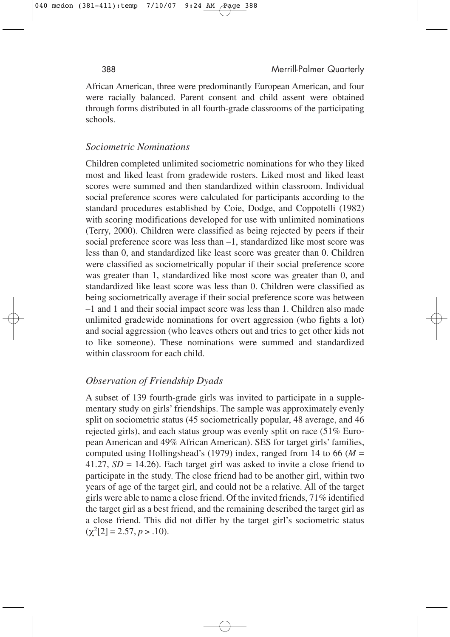African American, three were predominantly European American, and four were racially balanced. Parent consent and child assent were obtained through forms distributed in all fourth-grade classrooms of the participating schools.

# *Sociometric Nominations*

Children completed unlimited sociometric nominations for who they liked most and liked least from gradewide rosters. Liked most and liked least scores were summed and then standardized within classroom. Individual social preference scores were calculated for participants according to the standard procedures established by Coie, Dodge, and Coppotelli (1982) with scoring modifications developed for use with unlimited nominations (Terry, 2000). Children were classified as being rejected by peers if their social preference score was less than –1, standardized like most score was less than 0, and standardized like least score was greater than 0. Children were classified as sociometrically popular if their social preference score was greater than 1, standardized like most score was greater than 0, and standardized like least score was less than 0. Children were classified as being sociometrically average if their social preference score was between –1 and 1 and their social impact score was less than 1. Children also made unlimited gradewide nominations for overt aggression (who fights a lot) and social aggression (who leaves others out and tries to get other kids not to like someone). These nominations were summed and standardized within classroom for each child.

# *Observation of Friendship Dyads*

A subset of 139 fourth-grade girls was invited to participate in a supplementary study on girls' friendships. The sample was approximately evenly split on sociometric status (45 sociometrically popular, 48 average, and 46 rejected girls), and each status group was evenly split on race (51% European American and 49% African American). SES for target girls' families, computed using Hollingshead's (1979) index, ranged from 14 to 66 (*M* = 41.27, *SD* = 14.26). Each target girl was asked to invite a close friend to participate in the study. The close friend had to be another girl, within two years of age of the target girl, and could not be a relative. All of the target girls were able to name a close friend. Of the invited friends, 71% identified the target girl as a best friend, and the remaining described the target girl as a close friend. This did not differ by the target girl's sociometric status  $(\chi^2[2] = 2.57, p > .10).$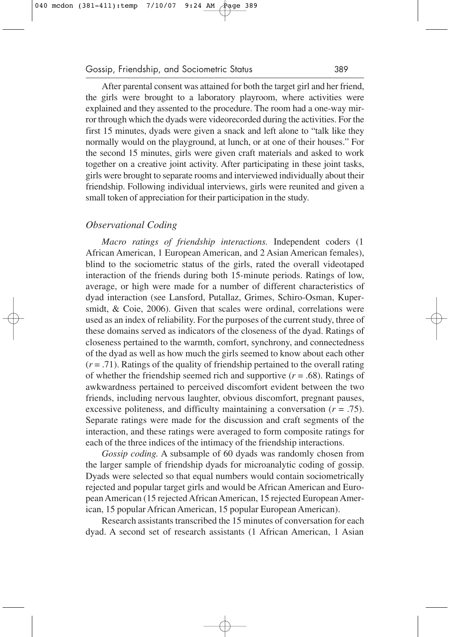After parental consent was attained for both the target girl and her friend, the girls were brought to a laboratory playroom, where activities were explained and they assented to the procedure. The room had a one-way mirror through which the dyads were videorecorded during the activities. For the first 15 minutes, dyads were given a snack and left alone to "talk like they normally would on the playground, at lunch, or at one of their houses." For the second 15 minutes, girls were given craft materials and asked to work together on a creative joint activity. After participating in these joint tasks, girls were brought to separate rooms and interviewed individually about their friendship. Following individual interviews, girls were reunited and given a small token of appreciation for their participation in the study.

#### *Observational Coding*

*Macro ratings of friendship interactions.* Independent coders (1 African American, 1 European American, and 2 Asian American females), blind to the sociometric status of the girls, rated the overall videotaped interaction of the friends during both 15-minute periods. Ratings of low, average, or high were made for a number of different characteristics of dyad interaction (see Lansford, Putallaz, Grimes, Schiro-Osman, Kupersmidt, & Coie, 2006). Given that scales were ordinal, correlations were used as an index of reliability. For the purposes of the current study, three of these domains served as indicators of the closeness of the dyad. Ratings of closeness pertained to the warmth, comfort, synchrony, and connectedness of the dyad as well as how much the girls seemed to know about each other (*r* = .71). Ratings of the quality of friendship pertained to the overall rating of whether the friendship seemed rich and supportive  $(r = .68)$ . Ratings of awkwardness pertained to perceived discomfort evident between the two friends, including nervous laughter, obvious discomfort, pregnant pauses, excessive politeness, and difficulty maintaining a conversation (*r* = .75). Separate ratings were made for the discussion and craft segments of the interaction, and these ratings were averaged to form composite ratings for each of the three indices of the intimacy of the friendship interactions.

*Gossip coding.* A subsample of 60 dyads was randomly chosen from the larger sample of friendship dyads for microanalytic coding of gossip. Dyads were selected so that equal numbers would contain sociometrically rejected and popular target girls and would be African American and European American (15 rejected African American, 15 rejected European American, 15 popular African American, 15 popular European American).

Research assistants transcribed the 15 minutes of conversation for each dyad. A second set of research assistants (1 African American, 1 Asian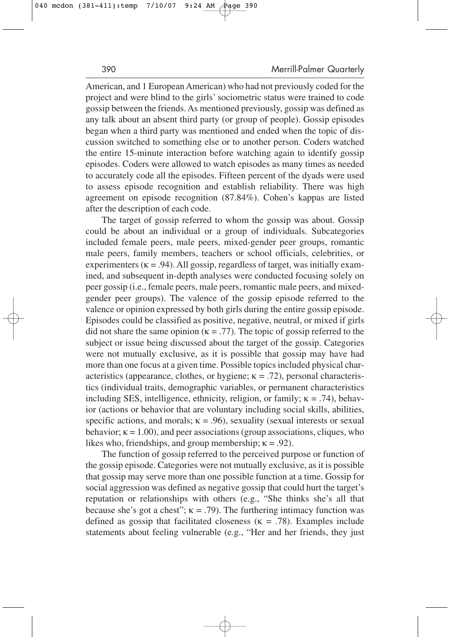any talk about an absent third party (or group of people). Gossip episodes began when a third party was mentioned and ended when the topic of discussion switched to something else or to another person. Coders watched the entire 15-minute interaction before watching again to identify gossip episodes. Coders were allowed to watch episodes as many times as needed to accurately code all the episodes. Fifteen percent of the dyads were used to assess episode recognition and establish reliability. There was high agreement on episode recognition (87.84%). Cohen's kappas are listed after the description of each code.

The target of gossip referred to whom the gossip was about. Gossip could be about an individual or a group of individuals. Subcategories included female peers, male peers, mixed-gender peer groups, romantic male peers, family members, teachers or school officials, celebrities, or experimenters ( $\kappa = .94$ ). All gossip, regardless of target, was initially examined, and subsequent in-depth analyses were conducted focusing solely on peer gossip (i.e., female peers, male peers, romantic male peers, and mixedgender peer groups). The valence of the gossip episode referred to the valence or opinion expressed by both girls during the entire gossip episode. Episodes could be classified as positive, negative, neutral, or mixed if girls did not share the same opinion ( $\kappa = .77$ ). The topic of gossip referred to the subject or issue being discussed about the target of the gossip. Categories were not mutually exclusive, as it is possible that gossip may have had more than one focus at a given time. Possible topics included physical characteristics (appearance, clothes, or hygiene;  $\kappa = .72$ ), personal characteristics (individual traits, demographic variables, or permanent characteristics including SES, intelligence, ethnicity, religion, or family;  $\kappa = .74$ ), behavior (actions or behavior that are voluntary including social skills, abilities, specific actions, and morals;  $\kappa = .96$ ), sexuality (sexual interests or sexual behavior;  $\kappa = 1.00$ ), and peer associations (group associations, cliques, who likes who, friendships, and group membership;  $\kappa = .92$ ).

The function of gossip referred to the perceived purpose or function of the gossip episode. Categories were not mutually exclusive, as it is possible that gossip may serve more than one possible function at a time. Gossip for social aggression was defined as negative gossip that could hurt the target's reputation or relationships with others (e.g., "She thinks she's all that because she's got a chest";  $\kappa = .79$ ). The furthering intimacy function was defined as gossip that facilitated closeness ( $\kappa = .78$ ). Examples include statements about feeling vulnerable (e.g., "Her and her friends, they just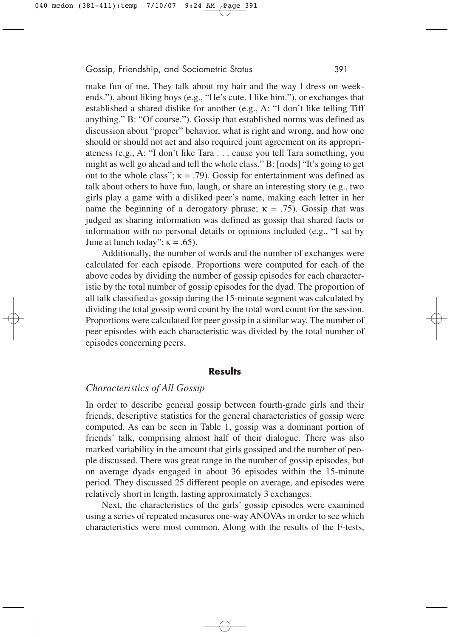make fun of me. They talk about my hair and the way I dress on weekends."), about liking boys (e.g., "He's cute. I like him."), or exchanges that established a shared dislike for another (e.g., A: "I don't like telling Tiff anything." B: "Of course."). Gossip that established norms was defined as discussion about "proper" behavior, what is right and wrong, and how one should or should not act and also required joint agreement on its appropriateness (e.g., A: "I don't like Tara . . . cause you tell Tara something, you might as well go ahead and tell the whole class." B: [nods] "It's going to get out to the whole class";  $κ = .79$ ). Gossip for entertainment was defined as talk about others to have fun, laugh, or share an interesting story (e.g., two girls play a game with a disliked peer's name, making each letter in her name the beginning of a derogatory phrase;  $\kappa = .75$ ). Gossip that was judged as sharing information was defined as gossip that shared facts or information with no personal details or opinions included (e.g., "I sat by June at lunch today";  $\kappa = .65$ ).

Additionally, the number of words and the number of exchanges were calculated for each episode. Proportions were computed for each of the above codes by dividing the number of gossip episodes for each characteristic by the total number of gossip episodes for the dyad. The proportion of all talk classified as gossip during the 15-minute segment was calculated by dividing the total gossip word count by the total word count for the session. Proportions were calculated for peer gossip in a similar way. The number of peer episodes with each characteristic was divided by the total number of episodes concerning peers.

# **Results**

# *Characteristics of All Gossip*

In order to describe general gossip between fourth-grade girls and their friends, descriptive statistics for the general characteristics of gossip were computed. As can be seen in Table 1, gossip was a dominant portion of friends' talk, comprising almost half of their dialogue. There was also marked variability in the amount that girls gossiped and the number of people discussed. There was great range in the number of gossip episodes, but on average dyads engaged in about 36 episodes within the 15-minute period. They discussed 25 different people on average, and episodes were relatively short in length, lasting approximately 3 exchanges.

Next, the characteristics of the girls' gossip episodes were examined using a series of repeated measures one-way ANOVAs in order to see which characteristics were most common. Along with the results of the F-tests,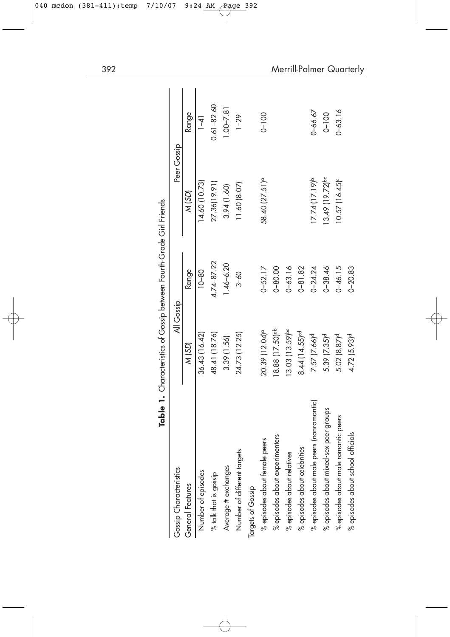| Gossip Characteristics                    | All Gossip                   |               | Peer Gossip                 |                |
|-------------------------------------------|------------------------------|---------------|-----------------------------|----------------|
| General Features                          | M (SD)                       | Kange         | M(SD)                       | Kange          |
| Number of episodes                        | 36.43 (16.42)                | $10 - 80$     | 14.60 (10.73)               | $1 - 41$       |
| % talk that is gossip                     | 48.41 (18.76)                | 4.74-87.22    | 27.36(19.91)                | $0.61 - 82.60$ |
| Average # exchanges                       | 3.39 (1.56)                  | $1.46 - 6.20$ | 3.94 (1.60)                 | $1.00 - 7.81$  |
| Number of different targets               | 24.73 (12.25)                | $3 - 60$      | 1.60(8.07)                  | $1 - 29$       |
| Targets of Gossip                         |                              |               |                             |                |
| % episodes about female peers             | 20.39 (12.04) <sup>o</sup>   | $0 - 52.17$   | 58.40 (27.51) <sup>o</sup>  | $001 - C$      |
| % episodes about experimenters            | 8.88 (17.50) <sup>ab</sup>   | $0 - 80.00$   |                             |                |
| % episodes about relatives                | $13.03(13.59)$ <sub>bc</sub> | $0 - 63.16$   |                             |                |
| % episodes about celebrities              | 8.44 (14.55) <sup>cd</sup>   | $0 - 81.82$   |                             |                |
| % episodes about male peers (nonromantic) | 7.57 (7.66) <sup>d</sup>     | $0 - 24.24$   | $17.74(17.19)^{b}$          | $7-66.67$      |
| % episodes about mixed-sex peer groups    | 5.39 (7.35) <sup>d</sup>     | $0 - 38.46$   | 3.49 (19.72)bc              | $0 - 100$      |
| % episodes about male romantic peers      | 5.02 (8.87) <sup>d</sup>     | $0 - 46.15$   | $10.57(16.45)$ <sup>c</sup> | 3.16           |
| % episodes about school officials         | 4.72 (5.93) <sup>d</sup>     | $-20.83$      |                             |                |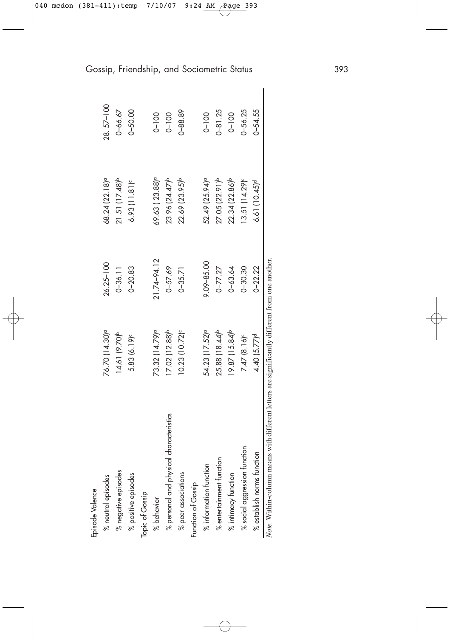| Episode Valence                                                                               |                             |             |                            |             |
|-----------------------------------------------------------------------------------------------|-----------------------------|-------------|----------------------------|-------------|
| % neutral episodes                                                                            | 76.70 (14.30) <sup>o</sup>  | 26.25-100   | 68.24 (22.18) <sup>°</sup> | 28.57-100   |
| % negative episodes                                                                           | 14.61 (9.70) <sup>b</sup>   | $0 - 36.11$ | 21.51 (17.48) <sup>b</sup> | $0 - 66.67$ |
| % positive episodes                                                                           | 5.83 (6.19) <sup>c</sup>    | $0 - 20.83$ | $6.93(11.81)^c$            | 0-50.00     |
| Topic of Gossip                                                                               |                             |             |                            |             |
| % behavior                                                                                    | 73.32 (14.79) <sup>o</sup>  | 21.74-94.12 | 69.63 (23.88) <sup>o</sup> | $001 - 0$   |
| % personal and physical characteristics                                                       | $17.02(12.88)$ <sup>b</sup> | $0 - 57.69$ | 23.96 (24.47) <sup>b</sup> | $001-0$     |
| $%$ peer associations                                                                         | 10.23 (10.72) <sup>c</sup>  | $0 - 35.71$ | 22.69 (23.95) <sup>b</sup> | $-88.89$    |
| Function of Gossip                                                                            |                             |             |                            |             |
| % information function                                                                        | 54.23 (17.52) <sup>o</sup>  | 9.09-85.00  | 52.49 (25.94) <sup>°</sup> | $001 - 0$   |
| % entertainment function                                                                      | 25.88 (18.44) <sup>b</sup>  | $0 - 77.27$ | 27.05 (22.91) <sup>b</sup> | $-81.25$    |
| % intimacy function                                                                           | $19.87(15.84)$ <sup>b</sup> | $0 - 63.64$ | 22.34 (22.86) <sup>b</sup> | $001 - 0$   |
| % social aggression function                                                                  | $7.47(8.16)^{c}$            | $0 - 30.30$ | $13.51(14.29)^c$           | $0 - 56.25$ |
| % establish norms tunction                                                                    | 4.40 (5.77) <sup>d</sup>    | $0 - 22.22$ | 6.61 (10.45) <sup>d</sup>  | 0-54.55     |
| Note. Within-column means with different letters are significantly different from one another |                             |             |                            |             |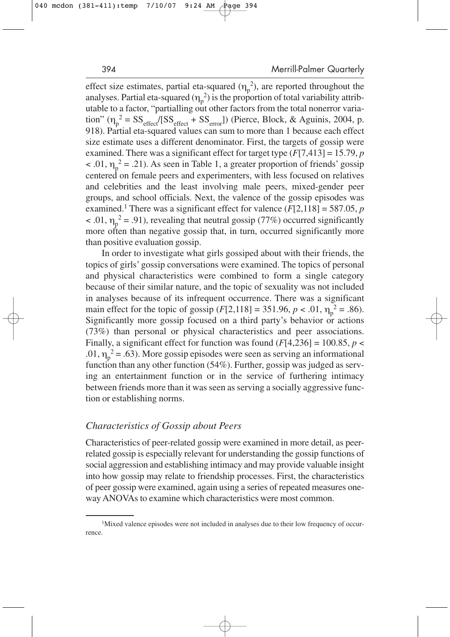effect size estimates, partial eta-squared  $(\eta_p^2)$ , are reported throughout the analyses. Partial eta-squared  $(\eta_p^2)$  is the proportion of total variability attributable to a factor, "partialling out other factors from the total nonerror variation" ( $\eta_p^2 = SS_{\text{effect}}/[SS_{\text{effect}} + SS_{\text{error}}]$ ) (Pierce, Block, & Aguinis, 2004, p. 918). Partial eta-squared values can sum to more than 1 because each effect size estimate uses a different denominator. First, the targets of gossip were examined. There was a significant effect for target type (*F*[7,413] = 15.79, *p*  $< .01$ ,  $\eta_p^2 = .21$ ). As seen in Table 1, a greater proportion of friends' gossip centered on female peers and experimenters, with less focused on relatives and celebrities and the least involving male peers, mixed-gender peer groups, and school officials. Next, the valence of the gossip episodes was examined.<sup>1</sup> There was a significant effect for valence  $(F[2,118] = 587.05, p$  $< .01$ ,  $\eta_p^2 = .91$ ), revealing that neutral gossip (77%) occurred significantly more often than negative gossip that, in turn, occurred significantly more than positive evaluation gossip.

In order to investigate what girls gossiped about with their friends, the topics of girls' gossip conversations were examined. The topics of personal and physical characteristics were combined to form a single category because of their similar nature, and the topic of sexuality was not included in analyses because of its infrequent occurrence. There was a significant main effect for the topic of gossip  $(F[2,118] = 351.96, p < .01, \eta_p^2 = .86)$ . Significantly more gossip focused on a third party's behavior or actions (73%) than personal or physical characteristics and peer associations. Finally, a significant effect for function was found  $(F[4,236] = 100.85, p <$ .01,  $\eta_p^2 = .63$ ). More gossip episodes were seen as serving an informational function than any other function (54%). Further, gossip was judged as serving an entertainment function or in the service of furthering intimacy between friends more than it was seen as serving a socially aggressive function or establishing norms.

#### *Characteristics of Gossip about Peers*

Characteristics of peer-related gossip were examined in more detail, as peerrelated gossip is especially relevant for understanding the gossip functions of social aggression and establishing intimacy and may provide valuable insight into how gossip may relate to friendship processes. First, the characteristics of peer gossip were examined, again using a series of repeated measures oneway ANOVAs to examine which characteristics were most common.

<sup>&</sup>lt;sup>1</sup>Mixed valence episodes were not included in analyses due to their low frequency of occurrence.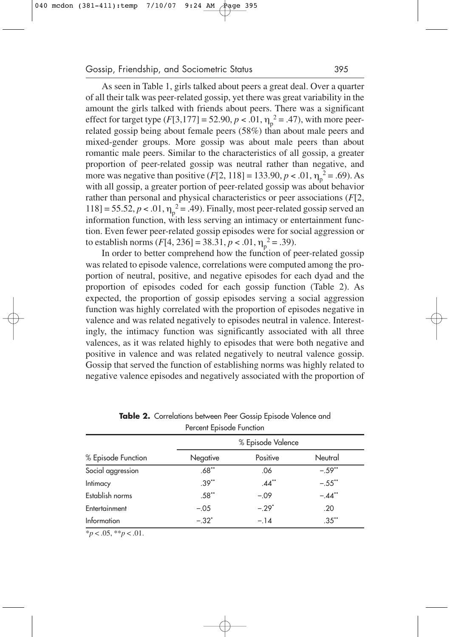As seen in Table 1, girls talked about peers a great deal. Over a quarter of all their talk was peer-related gossip, yet there was great variability in the amount the girls talked with friends about peers. There was a significant effect for target type  $(F[3,177] = 52.90, p < .01, \eta_p^2 = .47)$ , with more peerrelated gossip being about female peers (58%) than about male peers and mixed-gender groups. More gossip was about male peers than about romantic male peers. Similar to the characteristics of all gossip, a greater proportion of peer-related gossip was neutral rather than negative, and more was negative than positive  $(F[2, 118] = 133.90, p < .01, \eta_p^2 = .69)$ . As with all gossip, a greater portion of peer-related gossip was about behavior rather than personal and physical characteristics or peer associations (*F*[2,  $118$  = 55.52,  $p < .01$ ,  $\eta_p^2 = .49$ ). Finally, most peer-related gossip served an information function, with less serving an intimacy or entertainment function. Even fewer peer-related gossip episodes were for social aggression or to establish norms  $(F[4, 236] = 38.31, p < .01, \eta_p^2 = .39)$ .

In order to better comprehend how the function of peer-related gossip was related to episode valence, correlations were computed among the proportion of neutral, positive, and negative episodes for each dyad and the proportion of episodes coded for each gossip function (Table 2). As expected, the proportion of gossip episodes serving a social aggression function was highly correlated with the proportion of episodes negative in valence and was related negatively to episodes neutral in valence. Interestingly, the intimacy function was significantly associated with all three valences, as it was related highly to episodes that were both negative and positive in valence and was related negatively to neutral valence gossip. Gossip that served the function of establishing norms was highly related to negative valence episodes and negatively associated with the proportion of

|                    | <b>TURNED ISSUED IN STREET</b> |                     |          |
|--------------------|--------------------------------|---------------------|----------|
|                    |                                | % Episode Valence   |          |
| % Episode Function | Negative                       | Positive            | Neutral  |
| Social aggression  | .68"                           | .06                 | $-.59"$  |
| Intimacy           | $.39**$                        | $.44$ <sup>**</sup> | $-.55"$  |
| Establish norms    | .58"                           | $-.09$              | $-.44"$  |
| Entertainment      | $-.05$                         | $-.29"$             | .20      |
| Information        | $-.32"$                        | $-.14$              | $.35$ ** |

**Table 2.** Correlations between Peer Gossip Episode Valence and Percent Episode Function

\**p* < .05, \*\**p* < .01.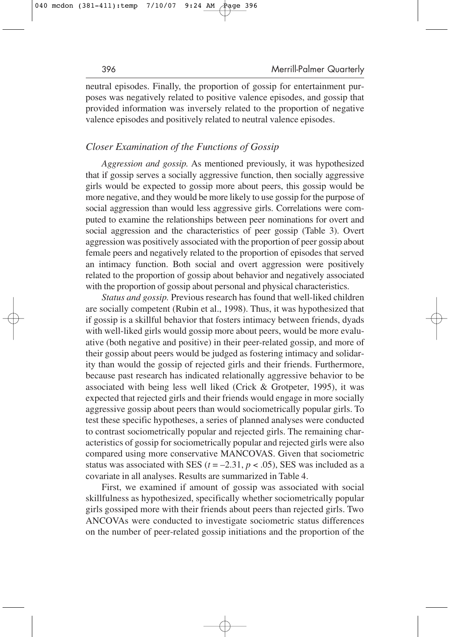neutral episodes. Finally, the proportion of gossip for entertainment purposes was negatively related to positive valence episodes, and gossip that provided information was inversely related to the proportion of negative valence episodes and positively related to neutral valence episodes.

# *Closer Examination of the Functions of Gossip*

*Aggression and gossip.* As mentioned previously, it was hypothesized that if gossip serves a socially aggressive function, then socially aggressive girls would be expected to gossip more about peers, this gossip would be more negative, and they would be more likely to use gossip for the purpose of social aggression than would less aggressive girls. Correlations were computed to examine the relationships between peer nominations for overt and social aggression and the characteristics of peer gossip (Table 3). Overt aggression was positively associated with the proportion of peer gossip about female peers and negatively related to the proportion of episodes that served an intimacy function. Both social and overt aggression were positively related to the proportion of gossip about behavior and negatively associated with the proportion of gossip about personal and physical characteristics.

*Status and gossip.* Previous research has found that well-liked children are socially competent (Rubin et al., 1998). Thus, it was hypothesized that if gossip is a skillful behavior that fosters intimacy between friends, dyads with well-liked girls would gossip more about peers, would be more evaluative (both negative and positive) in their peer-related gossip, and more of their gossip about peers would be judged as fostering intimacy and solidarity than would the gossip of rejected girls and their friends. Furthermore, because past research has indicated relationally aggressive behavior to be associated with being less well liked (Crick & Grotpeter, 1995), it was expected that rejected girls and their friends would engage in more socially aggressive gossip about peers than would sociometrically popular girls. To test these specific hypotheses, a series of planned analyses were conducted to contrast sociometrically popular and rejected girls. The remaining characteristics of gossip for sociometrically popular and rejected girls were also compared using more conservative MANCOVAS. Given that sociometric status was associated with SES ( $t = -2.31$ ,  $p < .05$ ), SES was included as a covariate in all analyses. Results are summarized in Table 4.

First, we examined if amount of gossip was associated with social skillfulness as hypothesized, specifically whether sociometrically popular girls gossiped more with their friends about peers than rejected girls. Two ANCOVAs were conducted to investigate sociometric status differences on the number of peer-related gossip initiations and the proportion of the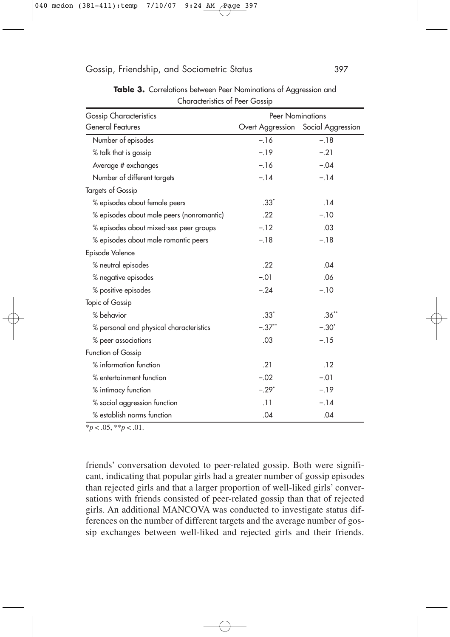| <b>Gossip Characteristics</b>             | <b>Peer Nominations</b> |                                    |
|-------------------------------------------|-------------------------|------------------------------------|
| <b>General Features</b>                   |                         | Overt Aggression Social Aggression |
| Number of episodes                        | $-16$                   | $-.18$                             |
| % talk that is gossip                     | $-.19$                  | $-.21$                             |
| Average # exchanges                       | $-16$                   | $-.04$                             |
| Number of different targets               | $-.14$                  | $-.14$                             |
| <b>Targets of Gossip</b>                  |                         |                                    |
| % episodes about female peers             | .33"                    | .14                                |
| % episodes about male peers (nonromantic) | .22                     | $-.10$                             |
| % episodes about mixed-sex peer groups    | $-.12$                  | .03                                |
| % episodes about male romantic peers      | $-.18$                  | $-.18$                             |
| Episode Valence                           |                         |                                    |
| % neutral episodes                        | .22                     | .04                                |
| % negative episodes                       | $-.01$                  | .06                                |
| % positive episodes                       | $-.24$                  | $-.10$                             |
| Topic of Gossip                           |                         |                                    |
| % behavior                                | .33"                    | $.36$ **                           |
| % personal and physical characteristics   | $-.37$ **               | $-.30^{\circ}$                     |
| % peer associations                       | .03                     | $-.15$                             |
| Function of Gossip                        |                         |                                    |
| % information function                    | .21                     | .12                                |
| % entertainment function                  | $-.02$                  | $-.01$                             |
| % intimacy function                       | $-.29"$                 | $-.19$                             |
| % social aggression function              | .11                     | $-.14$                             |
| % establish norms function                | .04                     | .04                                |

**Table 3.** Correlations between Peer Nominations of Aggression and Characteristics of Peer Gossip

 $*_{p < .05, *p < .01.}$ 

friends' conversation devoted to peer-related gossip. Both were significant, indicating that popular girls had a greater number of gossip episodes than rejected girls and that a larger proportion of well-liked girls' conversations with friends consisted of peer-related gossip than that of rejected girls. An additional MANCOVA was conducted to investigate status differences on the number of different targets and the average number of gossip exchanges between well-liked and rejected girls and their friends.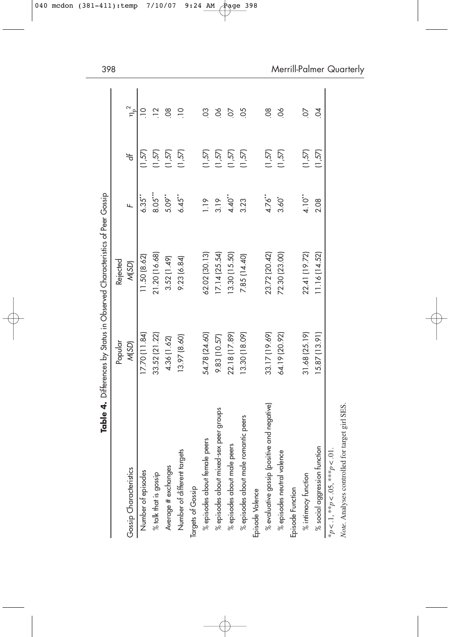|                                                |               | Table 4. Differences by Status in Observed Characteristics of Peer Gossip |                      |        |                      |
|------------------------------------------------|---------------|---------------------------------------------------------------------------|----------------------|--------|----------------------|
|                                                | Popular       | Rejected                                                                  |                      |        |                      |
| Gossip Characteristics                         | M(SD)         | M(SD)                                                                     |                      | ₩      | $\eta_{\sf p}^{\;2}$ |
| Number of episodes                             | 17.70(11.84)  | 11.50(8.62)                                                               | $6.35$ <sup>**</sup> | (1,57) | $\overline{C}$       |
| % talk that is gossip                          | 33.52 (21.22) | 21.20 (16.68)                                                             | 8.05**               | (1,57) | $\frac{2}{3}$        |
| Average # exchanges                            | 4.36 (1.62)   | 3.52 (1.49)                                                               | 5.09**               | (1,57) | $\frac{8}{2}$        |
| Number of different targets                    | 13.97 (8.60)  | 9.23 (6.84)                                                               | 6.45"                | (1,57) | $\frac{1}{2}$        |
| Targets of Gossip                              |               |                                                                           |                      |        |                      |
| % episodes about female peers                  | 54.78 (24.60) | 62.02 (30.13)                                                             | 1.19                 | (1,57) | S                    |
| % episodes about mixed-sex peer groups         | 9.83 (10.57)  | 17.14(25.54)                                                              | 3.19                 | (1,57) | SO.                  |
| % episodes about male peers                    | 22.18 (17.89) | (3.30(15.50)                                                              | 4.40"                | (1,57) | S <sub>O</sub>       |
| % episodes about male romantic peers           | (3.30(18.09)) | 7.85 (14.40)                                                              | 3.23                 | (1,57) | SO                   |
| Episode Valence                                |               |                                                                           |                      |        |                      |
| $\%$ evaluative gossip (positive and negative) | 33.17 (19.69) | 23.72 (20.42)                                                             | $4.76$ **            | (1,57) | $\frac{8}{2}$        |
| % episodes neutral valence                     | 64.19 (20.92) | 72.30 (23.00)                                                             | $3.60^*$             | (1,57) | $\delta$             |
| Episode Function                               |               |                                                                           |                      |        |                      |
| % intimacy function                            | 31.68 (25.19) | 22.41 (19.72)                                                             | 4.10"                | (1,57) | P.                   |
| % social aggression function                   | 5.87(13.91)   | 11.16(14.52)                                                              | 2.08                 | (1,57) | RO                   |
| * $p < 1,$ ** $p < 0.05,$ *** $p < 0.1$        |               |                                                                           |                      |        |                      |

 $\begin{array}{cc} F & \cdots & F & \cdots \end{array}$ <br>
Note. Analyses controlled for target girl SES. *Note.* Analyses controlled for target girl SES.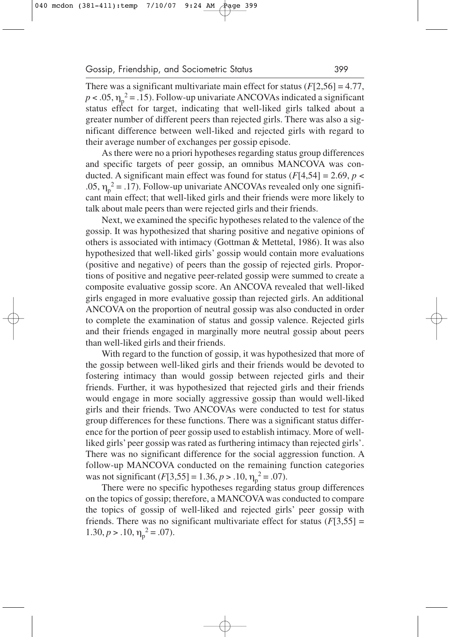There was a significant multivariate main effect for status  $(F[2,56] = 4.77$ ,  $p < .05$ ,  $\eta_p^2 = .15$ ). Follow-up univariate ANCOVAs indicated a significant status effect for target, indicating that well-liked girls talked about a greater number of different peers than rejected girls. There was also a significant difference between well-liked and rejected girls with regard to their average number of exchanges per gossip episode.

As there were no a priori hypotheses regarding status group differences and specific targets of peer gossip, an omnibus MANCOVA was conducted. A significant main effect was found for status  $(F[4,54] = 2.69, p <$ .05,  $\eta_p^2 = .17$ ). Follow-up univariate ANCOVAs revealed only one significant main effect; that well-liked girls and their friends were more likely to talk about male peers than were rejected girls and their friends.

Next, we examined the specific hypotheses related to the valence of the gossip. It was hypothesized that sharing positive and negative opinions of others is associated with intimacy (Gottman & Mettetal, 1986). It was also hypothesized that well-liked girls' gossip would contain more evaluations (positive and negative) of peers than the gossip of rejected girls. Proportions of positive and negative peer-related gossip were summed to create a composite evaluative gossip score. An ANCOVA revealed that well-liked girls engaged in more evaluative gossip than rejected girls. An additional ANCOVA on the proportion of neutral gossip was also conducted in order to complete the examination of status and gossip valence. Rejected girls and their friends engaged in marginally more neutral gossip about peers than well-liked girls and their friends.

With regard to the function of gossip, it was hypothesized that more of the gossip between well-liked girls and their friends would be devoted to fostering intimacy than would gossip between rejected girls and their friends. Further, it was hypothesized that rejected girls and their friends would engage in more socially aggressive gossip than would well-liked girls and their friends. Two ANCOVAs were conducted to test for status group differences for these functions. There was a significant status difference for the portion of peer gossip used to establish intimacy. More of wellliked girls' peer gossip was rated as furthering intimacy than rejected girls'. There was no significant difference for the social aggression function. A follow-up MANCOVA conducted on the remaining function categories was not significant  $(F[3,55] = 1.36, p > .10, \eta_p^2 = .07)$ .

There were no specific hypotheses regarding status group differences on the topics of gossip; therefore, a MANCOVA was conducted to compare the topics of gossip of well-liked and rejected girls' peer gossip with friends. There was no significant multivariate effect for status  $(F[3,55] =$  $1.30, p > .10, \eta_p^2 = .07$ .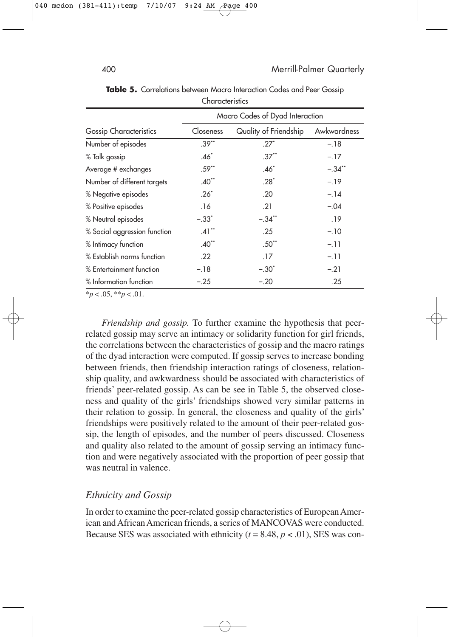|                               |                     | Macro Codes of Dyad Interaction |             |
|-------------------------------|---------------------|---------------------------------|-------------|
| <b>Gossip Characteristics</b> | <b>Closeness</b>    | Quality of Friendship           | Awkwardness |
| Number of episodes            | $.39**$             | $.27^*$                         | $-.18$      |
| % Talk gossip                 | $.46^*$             | $.37$ <sup>**</sup>             | $-.17$      |
| Average # exchanges           | .59"                | .46"                            | $-.34"$     |
| Number of different targets   | $.40$ <sup>**</sup> | $.28^*$                         | $-.19$      |
| % Negative episodes           | $.26*$              | .20                             | $-.14$      |
| % Positive episodes           | .16                 | .21                             | $-.04$      |
| % Neutral episodes            | $-.33"$             | $-.34"$                         | .19         |
| % Social aggression function  | .41"                | .25                             | $-.10$      |
| % Intimacy function           | $.40$ <sup>**</sup> | $.50$ <sup>*</sup>              | $-.11$      |
| % Establish norms function    | .22                 | .17                             | $-.11$      |
| % Entertainment function      | $-.18$              | $-.30^{\circ}$                  | $-.21$      |
| % Information function        | $-.25$              | $-.20$                          | .25         |

Table 5. Correlations between Macro Interaction Codes and Peer Gossip **Characteristics** 

\**p* < .05, \*\**p* < .01.

*Friendship and gossip.* To further examine the hypothesis that peerrelated gossip may serve an intimacy or solidarity function for girl friends, the correlations between the characteristics of gossip and the macro ratings of the dyad interaction were computed. If gossip serves to increase bonding between friends, then friendship interaction ratings of closeness, relationship quality, and awkwardness should be associated with characteristics of friends' peer-related gossip. As can be see in Table 5, the observed closeness and quality of the girls' friendships showed very similar patterns in their relation to gossip. In general, the closeness and quality of the girls' friendships were positively related to the amount of their peer-related gossip, the length of episodes, and the number of peers discussed. Closeness and quality also related to the amount of gossip serving an intimacy function and were negatively associated with the proportion of peer gossip that was neutral in valence.

#### *Ethnicity and Gossip*

In order to examine the peer-related gossip characteristics of European American and African American friends, a series of MANCOVAS were conducted. Because SES was associated with ethnicity  $(t = 8.48, p < .01)$ , SES was con-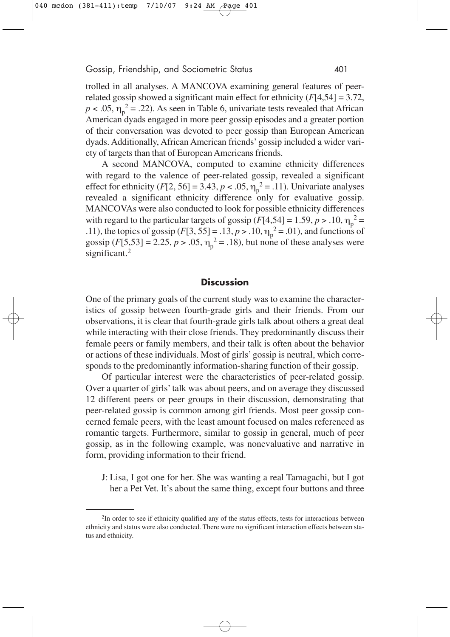trolled in all analyses. A MANCOVA examining general features of peerrelated gossip showed a significant main effect for ethnicity (*F*[4,54] = 3.72,  $p < .05$ ,  $\eta_p^2 = .22$ ). As seen in Table 6, univariate tests revealed that African American dyads engaged in more peer gossip episodes and a greater portion of their conversation was devoted to peer gossip than European American dyads. Additionally, African American friends' gossip included a wider variety of targets than that of European Americans friends.

A second MANCOVA, computed to examine ethnicity differences with regard to the valence of peer-related gossip, revealed a significant effect for ethnicity  $(F[2, 56] = 3.43, p < .05, \eta_p^2 = .11)$ . Univariate analyses revealed a significant ethnicity difference only for evaluative gossip. MANCOVAs were also conducted to look for possible ethnicity differences with regard to the particular targets of gossip  $(F[4,54] = 1.59, p > .10, \eta_p^2 =$ .11), the topics of gossip  $(F[3, 55] = .13, p > .10, \eta_p^2 = .01)$ , and functions of gossip  $(F[5,53] = 2.25, p > .05, \eta_p^2 = .18)$ , but none of these analyses were significant.<sup>2</sup>

#### **Discussion**

One of the primary goals of the current study was to examine the characteristics of gossip between fourth-grade girls and their friends. From our observations, it is clear that fourth-grade girls talk about others a great deal while interacting with their close friends. They predominantly discuss their female peers or family members, and their talk is often about the behavior or actions of these individuals. Most of girls' gossip is neutral, which corresponds to the predominantly information-sharing function of their gossip.

Of particular interest were the characteristics of peer-related gossip. Over a quarter of girls' talk was about peers, and on average they discussed 12 different peers or peer groups in their discussion, demonstrating that peer-related gossip is common among girl friends. Most peer gossip concerned female peers, with the least amount focused on males referenced as romantic targets. Furthermore, similar to gossip in general, much of peer gossip, as in the following example, was nonevaluative and narrative in form, providing information to their friend.

J: Lisa, I got one for her. She was wanting a real Tamagachi, but I got her a Pet Vet. It's about the same thing, except four buttons and three

<sup>&</sup>lt;sup>2</sup>In order to see if ethnicity qualified any of the status effects, tests for interactions between ethnicity and status were also conducted. There were no significant interaction effects between status and ethnicity.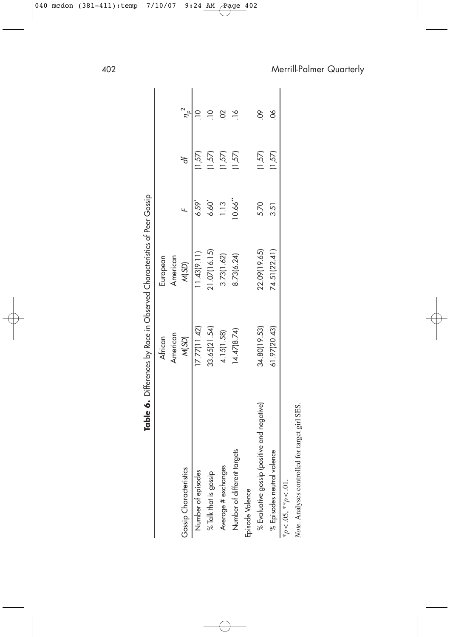|                                                | Table 6. Differences by Race in Observed Characteristics of Peer Gossip |              |               |         |               |  |
|------------------------------------------------|-------------------------------------------------------------------------|--------------|---------------|---------|---------------|--|
|                                                | African                                                                 | European     |               |         |               |  |
|                                                | American                                                                | American     |               |         |               |  |
| Gossip Characteristics                         | M(SD)                                                                   | M(SD)        |               |         |               |  |
| Number of episodes                             | 7.77(11.42)                                                             | 1.43(9.11)   | 6.59          | (1,57)  |               |  |
| % Talk that is gossip                          | 33.65(21.54)                                                            | 21.07(16.15) | 6.60'         | (1,57)  |               |  |
| Average # exchanges                            | 4.15(1.58)                                                              | 3.73(1.62)   | $\frac{3}{2}$ | (1, 57) | S             |  |
| Number of different targets                    | 14.47(8.74)                                                             | 8.73(6.24)   | 10.66"        | (1,57)  | $\frac{8}{1}$ |  |
| Episode Valence                                |                                                                         |              |               |         |               |  |
| % Evaluative gossip (positive and negative)    | 34.80(19.53)                                                            | 22.09(19.65) | 5.70          | (1,57)  | S)            |  |
| % Episodes neutral valence                     | 61.97(20.43)                                                            | 74.51(22.41) | 3.51          | (1,57)  | Š             |  |
| $*_{p} < .05, **_{p} < .01.$                   |                                                                         |              |               |         |               |  |
| Note. Analyses controlled for target girl SES. |                                                                         |              |               |         |               |  |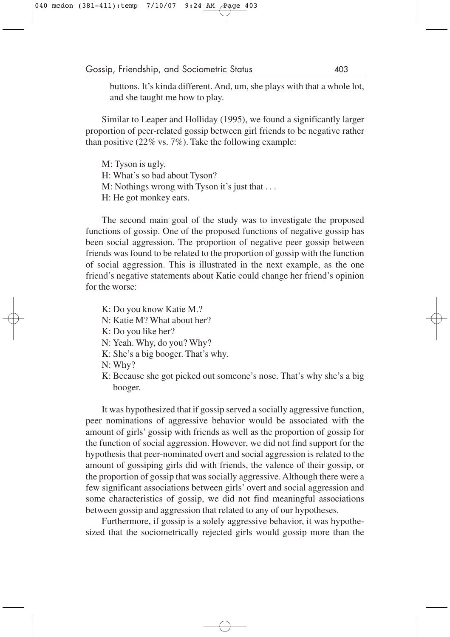buttons. It's kinda different. And, um, she plays with that a whole lot, and she taught me how to play.

Similar to Leaper and Holliday (1995), we found a significantly larger proportion of peer-related gossip between girl friends to be negative rather than positive (22% vs. 7%). Take the following example:

M: Tyson is ugly. H: What's so bad about Tyson? M: Nothings wrong with Tyson it's just that ... H: He got monkey ears.

The second main goal of the study was to investigate the proposed functions of gossip. One of the proposed functions of negative gossip has been social aggression. The proportion of negative peer gossip between friends was found to be related to the proportion of gossip with the function of social aggression. This is illustrated in the next example, as the one friend's negative statements about Katie could change her friend's opinion for the worse:

- K: Do you know Katie M.?
- N: Katie M? What about her?
- K: Do you like her?
- N: Yeah. Why, do you? Why?
- K: She's a big booger. That's why.
- N: Why?
- K: Because she got picked out someone's nose. That's why she's a big booger.

It was hypothesized that if gossip served a socially aggressive function, peer nominations of aggressive behavior would be associated with the amount of girls' gossip with friends as well as the proportion of gossip for the function of social aggression. However, we did not find support for the hypothesis that peer-nominated overt and social aggression is related to the amount of gossiping girls did with friends, the valence of their gossip, or the proportion of gossip that was socially aggressive. Although there were a few significant associations between girls' overt and social aggression and some characteristics of gossip, we did not find meaningful associations between gossip and aggression that related to any of our hypotheses.

Furthermore, if gossip is a solely aggressive behavior, it was hypothesized that the sociometrically rejected girls would gossip more than the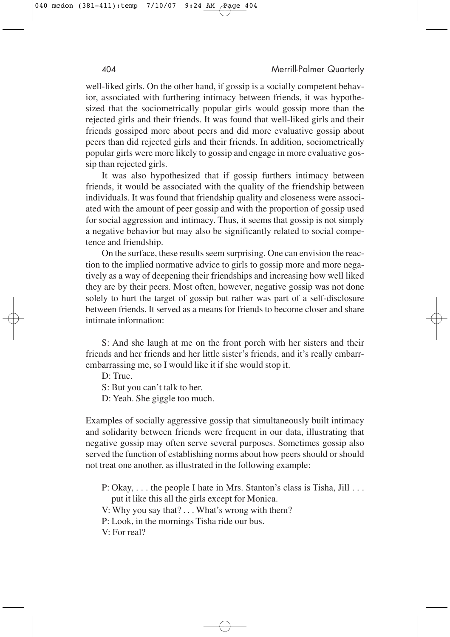well-liked girls. On the other hand, if gossip is a socially competent behavior, associated with furthering intimacy between friends, it was hypothesized that the sociometrically popular girls would gossip more than the rejected girls and their friends. It was found that well-liked girls and their friends gossiped more about peers and did more evaluative gossip about peers than did rejected girls and their friends. In addition, sociometrically popular girls were more likely to gossip and engage in more evaluative gossip than rejected girls.

It was also hypothesized that if gossip furthers intimacy between friends, it would be associated with the quality of the friendship between individuals. It was found that friendship quality and closeness were associated with the amount of peer gossip and with the proportion of gossip used for social aggression and intimacy. Thus, it seems that gossip is not simply a negative behavior but may also be significantly related to social competence and friendship.

On the surface, these results seem surprising. One can envision the reaction to the implied normative advice to girls to gossip more and more negatively as a way of deepening their friendships and increasing how well liked they are by their peers. Most often, however, negative gossip was not done solely to hurt the target of gossip but rather was part of a self-disclosure between friends. It served as a means for friends to become closer and share intimate information:

S: And she laugh at me on the front porch with her sisters and their friends and her friends and her little sister's friends, and it's really embarrembarrassing me, so I would like it if she would stop it.

D: True.

S: But you can't talk to her.

D: Yeah. She giggle too much.

Examples of socially aggressive gossip that simultaneously built intimacy and solidarity between friends were frequent in our data, illustrating that negative gossip may often serve several purposes. Sometimes gossip also served the function of establishing norms about how peers should or should not treat one another, as illustrated in the following example:

P: Okay, . . . the people I hate in Mrs. Stanton's class is Tisha, Jill . . . put it like this all the girls except for Monica.

V: Why you say that? . . . What's wrong with them?

P: Look, in the mornings Tisha ride our bus.

V: For real?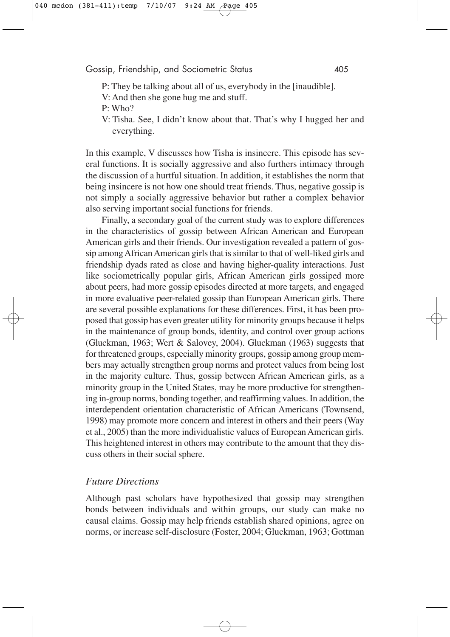- P: They be talking about all of us, everybody in the [inaudible].
- V: And then she gone hug me and stuff.
- P: Who?
- V: Tisha. See, I didn't know about that. That's why I hugged her and everything.

In this example, V discusses how Tisha is insincere. This episode has several functions. It is socially aggressive and also furthers intimacy through the discussion of a hurtful situation. In addition, it establishes the norm that being insincere is not how one should treat friends. Thus, negative gossip is not simply a socially aggressive behavior but rather a complex behavior also serving important social functions for friends.

Finally, a secondary goal of the current study was to explore differences in the characteristics of gossip between African American and European American girls and their friends. Our investigation revealed a pattern of gossip among African American girls that is similar to that of well-liked girls and friendship dyads rated as close and having higher-quality interactions. Just like sociometrically popular girls, African American girls gossiped more about peers, had more gossip episodes directed at more targets, and engaged in more evaluative peer-related gossip than European American girls. There are several possible explanations for these differences. First, it has been proposed that gossip has even greater utility for minority groups because it helps in the maintenance of group bonds, identity, and control over group actions (Gluckman, 1963; Wert & Salovey, 2004). Gluckman (1963) suggests that for threatened groups, especially minority groups, gossip among group members may actually strengthen group norms and protect values from being lost in the majority culture. Thus, gossip between African American girls, as a minority group in the United States, may be more productive for strengthening in-group norms, bonding together, and reaffirming values. In addition, the interdependent orientation characteristic of African Americans (Townsend, 1998) may promote more concern and interest in others and their peers (Way et al., 2005) than the more individualistic values of European American girls. This heightened interest in others may contribute to the amount that they discuss others in their social sphere.

# *Future Directions*

Although past scholars have hypothesized that gossip may strengthen bonds between individuals and within groups, our study can make no causal claims. Gossip may help friends establish shared opinions, agree on norms, or increase self-disclosure (Foster, 2004; Gluckman, 1963; Gottman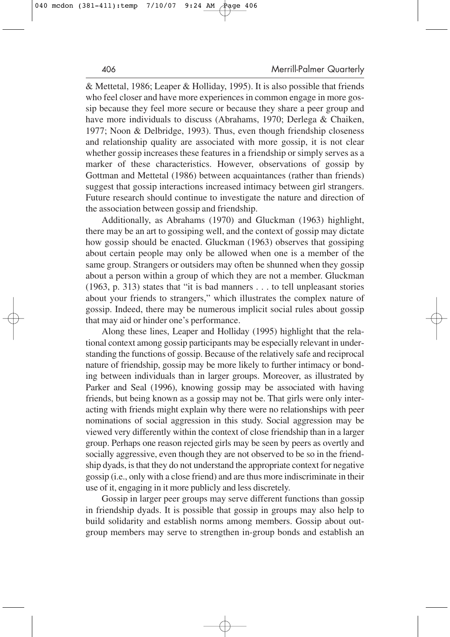& Mettetal, 1986; Leaper & Holliday, 1995). It is also possible that friends who feel closer and have more experiences in common engage in more gossip because they feel more secure or because they share a peer group and have more individuals to discuss (Abrahams, 1970; Derlega & Chaiken, 1977; Noon & Delbridge, 1993). Thus, even though friendship closeness and relationship quality are associated with more gossip, it is not clear whether gossip increases these features in a friendship or simply serves as a marker of these characteristics. However, observations of gossip by Gottman and Mettetal (1986) between acquaintances (rather than friends) suggest that gossip interactions increased intimacy between girl strangers. Future research should continue to investigate the nature and direction of the association between gossip and friendship.

Additionally, as Abrahams (1970) and Gluckman (1963) highlight, there may be an art to gossiping well, and the context of gossip may dictate how gossip should be enacted. Gluckman (1963) observes that gossiping about certain people may only be allowed when one is a member of the same group. Strangers or outsiders may often be shunned when they gossip about a person within a group of which they are not a member. Gluckman (1963, p. 313) states that "it is bad manners . . . to tell unpleasant stories about your friends to strangers," which illustrates the complex nature of gossip. Indeed, there may be numerous implicit social rules about gossip that may aid or hinder one's performance.

Along these lines, Leaper and Holliday (1995) highlight that the relational context among gossip participants may be especially relevant in understanding the functions of gossip. Because of the relatively safe and reciprocal nature of friendship, gossip may be more likely to further intimacy or bonding between individuals than in larger groups. Moreover, as illustrated by Parker and Seal (1996), knowing gossip may be associated with having friends, but being known as a gossip may not be. That girls were only interacting with friends might explain why there were no relationships with peer nominations of social aggression in this study. Social aggression may be viewed very differently within the context of close friendship than in a larger group. Perhaps one reason rejected girls may be seen by peers as overtly and socially aggressive, even though they are not observed to be so in the friendship dyads, is that they do not understand the appropriate context for negative gossip (i.e., only with a close friend) and are thus more indiscriminate in their use of it, engaging in it more publicly and less discretely.

Gossip in larger peer groups may serve different functions than gossip in friendship dyads. It is possible that gossip in groups may also help to build solidarity and establish norms among members. Gossip about outgroup members may serve to strengthen in-group bonds and establish an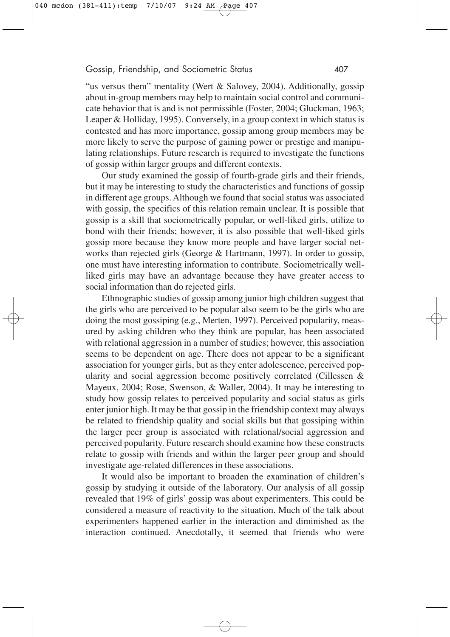"us versus them" mentality (Wert & Salovey, 2004). Additionally, gossip about in-group members may help to maintain social control and communicate behavior that is and is not permissible (Foster, 2004; Gluckman, 1963; Leaper & Holliday, 1995). Conversely, in a group context in which status is contested and has more importance, gossip among group members may be more likely to serve the purpose of gaining power or prestige and manipulating relationships. Future research is required to investigate the functions of gossip within larger groups and different contexts.

Our study examined the gossip of fourth-grade girls and their friends, but it may be interesting to study the characteristics and functions of gossip in different age groups. Although we found that social status was associated with gossip, the specifics of this relation remain unclear. It is possible that gossip is a skill that sociometrically popular, or well-liked girls, utilize to bond with their friends; however, it is also possible that well-liked girls gossip more because they know more people and have larger social networks than rejected girls (George & Hartmann, 1997). In order to gossip, one must have interesting information to contribute. Sociometrically wellliked girls may have an advantage because they have greater access to social information than do rejected girls.

Ethnographic studies of gossip among junior high children suggest that the girls who are perceived to be popular also seem to be the girls who are doing the most gossiping (e.g., Merten, 1997). Perceived popularity, measured by asking children who they think are popular, has been associated with relational aggression in a number of studies; however, this association seems to be dependent on age. There does not appear to be a significant association for younger girls, but as they enter adolescence, perceived popularity and social aggression become positively correlated (Cillessen & Mayeux, 2004; Rose, Swenson, & Waller, 2004). It may be interesting to study how gossip relates to perceived popularity and social status as girls enter junior high. It may be that gossip in the friendship context may always be related to friendship quality and social skills but that gossiping within the larger peer group is associated with relational/social aggression and perceived popularity. Future research should examine how these constructs relate to gossip with friends and within the larger peer group and should investigate age-related differences in these associations.

It would also be important to broaden the examination of children's gossip by studying it outside of the laboratory. Our analysis of all gossip revealed that 19% of girls' gossip was about experimenters. This could be considered a measure of reactivity to the situation. Much of the talk about experimenters happened earlier in the interaction and diminished as the interaction continued. Anecdotally, it seemed that friends who were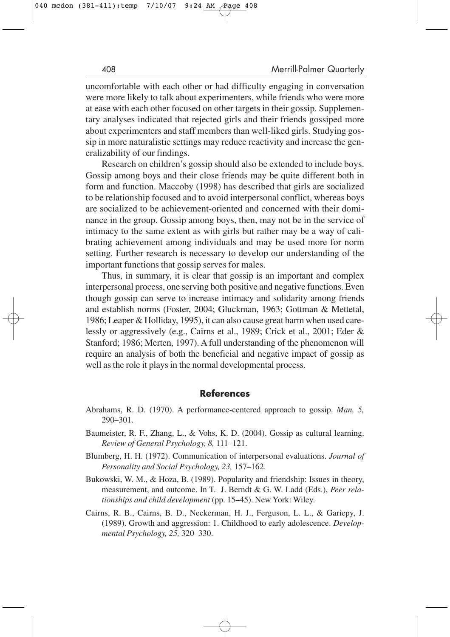uncomfortable with each other or had difficulty engaging in conversation were more likely to talk about experimenters, while friends who were more at ease with each other focused on other targets in their gossip. Supplementary analyses indicated that rejected girls and their friends gossiped more about experimenters and staff members than well-liked girls. Studying gossip in more naturalistic settings may reduce reactivity and increase the generalizability of our findings.

Research on children's gossip should also be extended to include boys. Gossip among boys and their close friends may be quite different both in form and function. Maccoby (1998) has described that girls are socialized to be relationship focused and to avoid interpersonal conflict, whereas boys are socialized to be achievement-oriented and concerned with their dominance in the group. Gossip among boys, then, may not be in the service of intimacy to the same extent as with girls but rather may be a way of calibrating achievement among individuals and may be used more for norm setting. Further research is necessary to develop our understanding of the important functions that gossip serves for males.

Thus, in summary, it is clear that gossip is an important and complex interpersonal process, one serving both positive and negative functions. Even though gossip can serve to increase intimacy and solidarity among friends and establish norms (Foster, 2004; Gluckman, 1963; Gottman & Mettetal, 1986; Leaper & Holliday, 1995), it can also cause great harm when used carelessly or aggressively (e.g., Cairns et al., 1989; Crick et al., 2001; Eder & Stanford; 1986; Merten, 1997). A full understanding of the phenomenon will require an analysis of both the beneficial and negative impact of gossip as well as the role it plays in the normal developmental process.

#### **References**

- Abrahams, R. D. (1970). A performance-centered approach to gossip. *Man, 5,* 290–301.
- Baumeister, R. F., Zhang, L., & Vohs, K. D. (2004). Gossip as cultural learning. *Review of General Psychology, 8,* 111–121.
- Blumberg, H. H. (1972). Communication of interpersonal evaluations. *Journal of Personality and Social Psychology, 23,* 157–162.
- Bukowski, W. M., & Hoza, B. (1989). Popularity and friendship: Issues in theory, measurement, and outcome. In T. J. Berndt & G. W. Ladd (Eds.), *Peer relationships and child development* (pp. 15–45). New York: Wiley.
- Cairns, R. B., Cairns, B. D., Neckerman, H. J., Ferguson, L. L., & Gariepy, J. (1989). Growth and aggression: 1. Childhood to early adolescence. *Developmental Psychology, 25,* 320–330.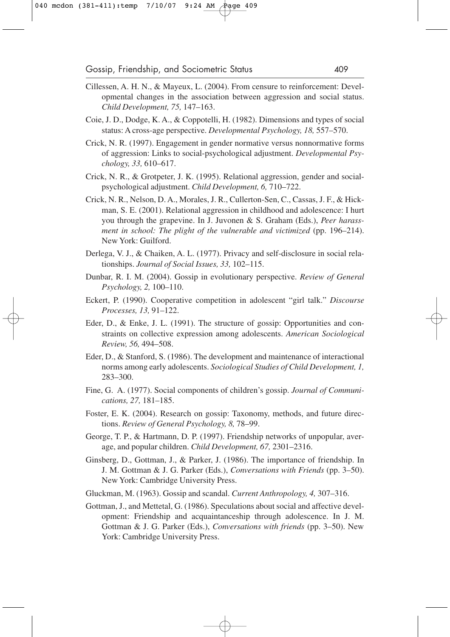- Cillessen, A. H. N., & Mayeux, L. (2004). From censure to reinforcement: Developmental changes in the association between aggression and social status. *Child Development, 75,* 147–163.
- Coie, J. D., Dodge, K. A., & Coppotelli, H. (1982). Dimensions and types of social status: A cross-age perspective. *Developmental Psychology, 18,* 557–570.
- Crick, N. R. (1997). Engagement in gender normative versus nonnormative forms of aggression: Links to social-psychological adjustment. *Developmental Psychology, 33,* 610–617.
- Crick, N. R., & Grotpeter, J. K. (1995). Relational aggression, gender and socialpsychological adjustment. *Child Development, 6,* 710–722.
- Crick, N. R., Nelson, D. A., Morales, J. R., Cullerton-Sen, C., Cassas, J. F., & Hickman, S. E. (2001). Relational aggression in childhood and adolescence: I hurt you through the grapevine. In J. Juvonen & S. Graham (Eds.), *Peer harassment in school: The plight of the vulnerable and victimized* (pp. 196–214). New York: Guilford.
- Derlega, V. J., & Chaiken, A. L. (1977). Privacy and self-disclosure in social relationships. *Journal of Social Issues, 33,* 102–115.
- Dunbar, R. I. M. (2004). Gossip in evolutionary perspective. *Review of General Psychology, 2,* 100–110.
- Eckert, P. (1990). Cooperative competition in adolescent "girl talk." *Discourse Processes, 13,* 91–122.
- Eder, D., & Enke, J. L. (1991). The structure of gossip: Opportunities and constraints on collective expression among adolescents. *American Sociological Review, 56,* 494–508.
- Eder, D., & Stanford, S. (1986). The development and maintenance of interactional norms among early adolescents. *Sociological Studies of Child Development, 1,* 283–300.
- Fine, G. A. (1977). Social components of children's gossip. *Journal of Communications, 27,* 181–185.
- Foster, E. K. (2004). Research on gossip: Taxonomy, methods, and future directions. *Review of General Psychology, 8,* 78–99.
- George, T. P., & Hartmann, D. P. (1997). Friendship networks of unpopular, average, and popular children. *Child Development, 67,* 2301–2316.
- Ginsberg, D., Gottman, J., & Parker, J. (1986). The importance of friendship. In J. M. Gottman & J. G. Parker (Eds.), *Conversations with Friends* (pp. 3–50). New York: Cambridge University Press.
- Gluckman, M. (1963). Gossip and scandal. *Current Anthropology, 4,* 307–316.
- Gottman, J., and Mettetal, G. (1986). Speculations about social and affective development: Friendship and acquaintanceship through adolescence. In J. M. Gottman & J. G. Parker (Eds.), *Conversations with friends* (pp. 3–50). New York: Cambridge University Press.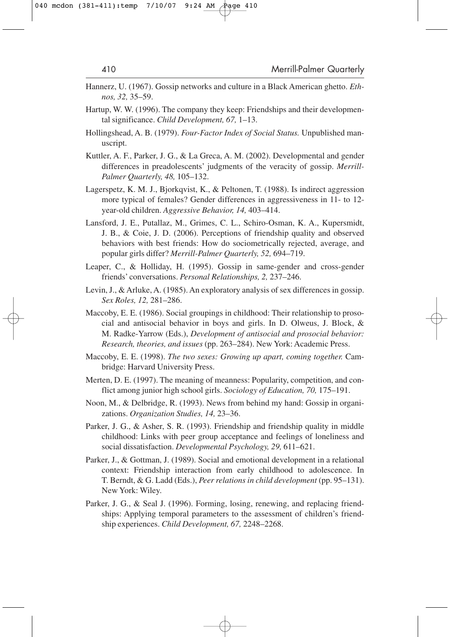- Hannerz, U. (1967). Gossip networks and culture in a Black American ghetto. *Ethnos, 32,* 35–59.
- Hartup, W. W. (1996). The company they keep: Friendships and their developmental significance. *Child Development, 67,* 1–13.
- Hollingshead, A. B. (1979). *Four-Factor Index of Social Status.* Unpublished manuscript.
- Kuttler, A. F., Parker, J. G., & La Greca, A. M. (2002). Developmental and gender differences in preadolescents' judgments of the veracity of gossip. *Merrill-Palmer Quarterly, 48,* 105–132.
- Lagerspetz, K. M. J., Bjorkqvist, K., & Peltonen, T. (1988). Is indirect aggression more typical of females? Gender differences in aggressiveness in 11- to 12 year-old children. *Aggressive Behavior, 14,* 403–414.
- Lansford, J. E., Putallaz, M., Grimes, C. L., Schiro-Osman, K. A., Kupersmidt, J. B., & Coie, J. D. (2006). Perceptions of friendship quality and observed behaviors with best friends: How do sociometrically rejected, average, and popular girls differ? *Merrill-Palmer Quarterly, 52,* 694–719.
- Leaper, C., & Holliday, H. (1995). Gossip in same-gender and cross-gender friends' conversations. *Personal Relationships, 2,* 237–246.
- Levin, J., & Arluke, A. (1985). An exploratory analysis of sex differences in gossip. *Sex Roles, 12,* 281–286.
- Maccoby, E. E. (1986). Social groupings in childhood: Their relationship to prosocial and antisocial behavior in boys and girls. In D. Olweus, J. Block, & M. Radke-Yarrow (Eds.), *Development of antisocial and prosocial behavior: Research, theories, and issues* (pp. 263–284). New York: Academic Press.
- Maccoby, E. E. (1998). *The two sexes: Growing up apart, coming together.* Cambridge: Harvard University Press.
- Merten, D. E. (1997). The meaning of meanness: Popularity, competition, and conflict among junior high school girls. *Sociology of Education, 70,* 175–191.
- Noon, M., & Delbridge, R. (1993). News from behind my hand: Gossip in organizations. *Organization Studies, 14,* 23–36.
- Parker, J. G., & Asher, S. R. (1993). Friendship and friendship quality in middle childhood: Links with peer group acceptance and feelings of loneliness and social dissatisfaction. *Developmental Psychology, 29,* 611–621.
- Parker, J., & Gottman, J. (1989). Social and emotional development in a relational context: Friendship interaction from early childhood to adolescence. In T. Berndt, & G. Ladd (Eds.), *Peer relations in child development* (pp. 95–131). New York: Wiley.
- Parker, J. G., & Seal J. (1996). Forming, losing, renewing, and replacing friendships: Applying temporal parameters to the assessment of children's friendship experiences. *Child Development, 67,* 2248–2268.